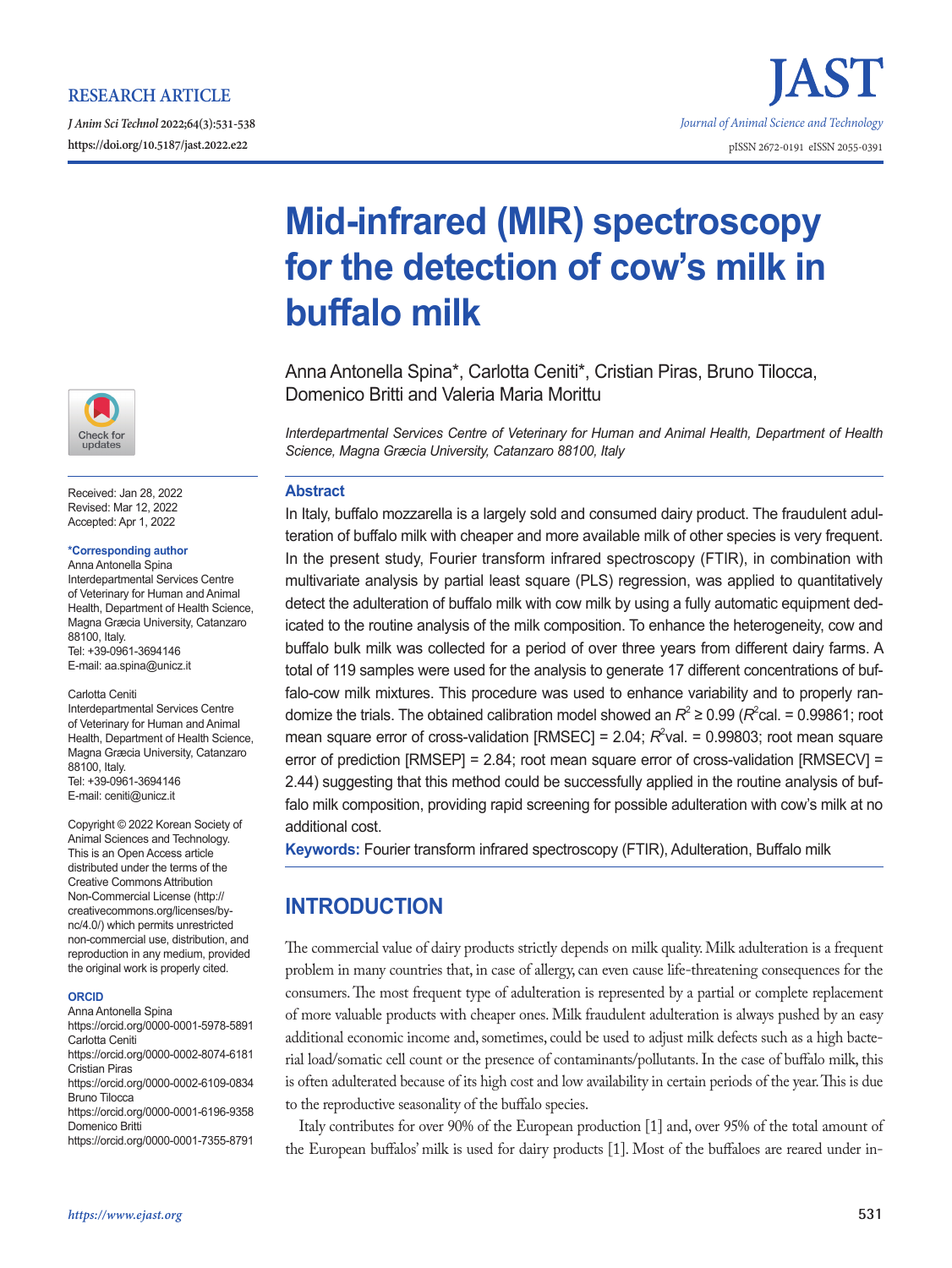## **RESEARCH ARTICLE**

*J Anim Sci Technol* **2022;64(3):531-538**





Received: Jan 28, 2022 Revised: Mar 12, 2022 Accepted: Apr 1, 2022

## **\*Corresponding author**

Anna Antonella Spina Interdepartmental Services Centre of Veterinary for Human and Animal Health, Department of Health Science, Magna Græcia University, Catanzaro 88100, Italy. Tel: +39-0961-3694146 E-mail: aa.spina@unicz.it

#### Carlotta Ceniti

Interdepartmental Services Centre of Veterinary for Human and Animal Health, Department of Health Science, Magna Græcia University, Catanzaro 88100, Italy. Tel: +39-0961-3694146 E-mail: ceniti@unicz.it

Copyright © 2022 Korean Society of Animal Sciences and Technology. This is an Open Access article distributed under the terms of the Creative Commons Attribution Non-Commercial License (http:// creativecommons.org/licenses/bync/4.0/) which permits unrestricted non-commercial use, distribution, and reproduction in any medium, provided the original work is properly cited.

#### **ORCID**

Anna Antonella Spina https://orcid.org/0000-0001-5978-5891 Carlotta Ceniti https://orcid.org/0000-0002-8074-6181 Cristian Piras https://orcid.org/0000-0002-6109-0834 Bruno Tilocca https://orcid.org/0000-0001-6196-9358 Domenico Britti

https://orcid.org/0000-0001-7355-8791

# **Mid-infrared (MIR) spectroscopy for the detection of cow's milk in buffalo milk**

Anna Antonella Spina\*, Carlotta Ceniti\*, Cristian Piras, Bruno Tilocca, Domenico Britti and Valeria Maria Morittu

*Interdepartmental Services Centre of Veterinary for Human and Animal Health, Department of Health Science, Magna Græcia University, Catanzaro 88100, Italy*

### **Abstract**

In Italy, buffalo mozzarella is a largely sold and consumed dairy product. The fraudulent adulteration of buffalo milk with cheaper and more available milk of other species is very frequent. In the present study, Fourier transform infrared spectroscopy (FTIR), in combination with multivariate analysis by partial least square (PLS) regression, was applied to quantitatively detect the adulteration of buffalo milk with cow milk by using a fully automatic equipment dedicated to the routine analysis of the milk composition. To enhance the heterogeneity, cow and buffalo bulk milk was collected for a period of over three years from different dairy farms. A total of 119 samples were used for the analysis to generate 17 different concentrations of buffalo-cow milk mixtures. This procedure was used to enhance variability and to properly randomize the trials. The obtained calibration model showed an  $R^2 \ge 0.99$  ( $R^2$ cal. = 0.99861; root mean square error of cross-validation [RMSEC] =  $2.04$ ;  $R^2$ val. = 0.99803; root mean square error of prediction  $[RMSEP] = 2.84$ ; root mean square error of cross-validation  $[RMSECV] =$ 2.44) suggesting that this method could be successfully applied in the routine analysis of buffalo milk composition, providing rapid screening for possible adulteration with cow's milk at no additional cost.

**Keywords:** Fourier transform infrared spectroscopy (FTIR), Adulteration, Buffalo milk

# **INTRODUCTION**

The commercial value of dairy products strictly depends on milk quality. Milk adulteration is a frequent problem in many countries that, in case of allergy, can even cause life-threatening consequences for the consumers. The most frequent type of adulteration is represented by a partial or complete replacement of more valuable products with cheaper ones. Milk fraudulent adulteration is always pushed by an easy additional economic income and, sometimes, could be used to adjust milk defects such as a high bacterial load/somatic cell count or the presence of contaminants/pollutants. In the case of buffalo milk, this is often adulterated because of its high cost and low availability in certain periods of the year. This is due to the reproductive seasonality of the buffalo species.

Italy contributes for over 90% of the European production [1] and, over 95% of the total amount of the European buffalos' milk is used for dairy products [1]. Most of the buffaloes are reared under in-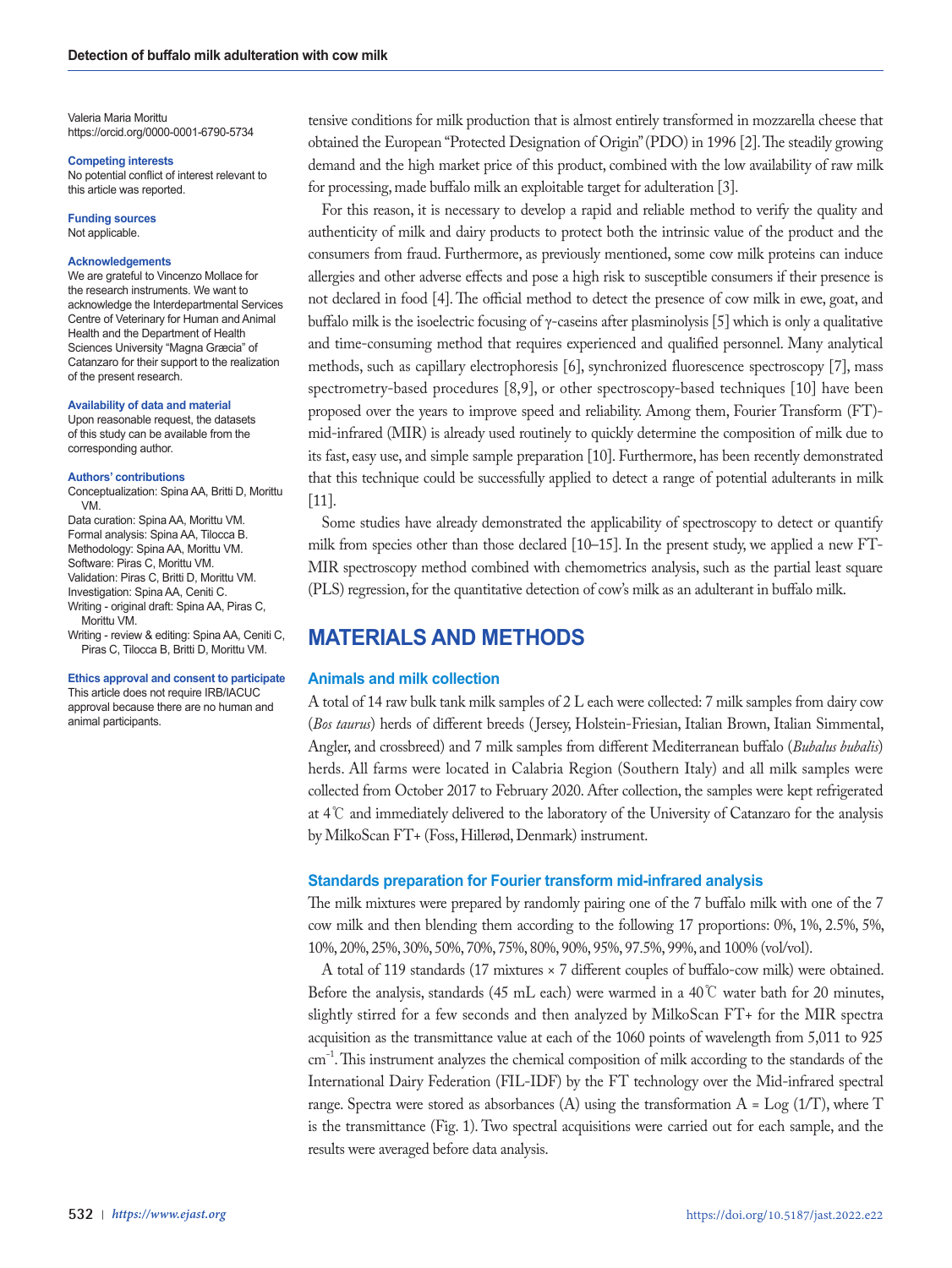Valeria Maria Morittu https://orcid.org/0000-0001-6790-5734

**Competing interests**

No potential conflict of interest relevant to this article was reported.

**Funding sources** Not applicable.

#### **Acknowledgements**

We are grateful to Vincenzo Mollace for the research instruments. We want to acknowledge the Interdepartmental Services Centre of Veterinary for Human and Animal Health and the Department of Health Sciences University "Magna Græcia" of Catanzaro for their support to the realization of the present research.

#### **Availability of data and material**

Upon reasonable request, the datasets of this study can be available from the corresponding author.

#### **Authors' contributions**

Conceptualization: Spina AA, Britti D, Morittu VM.

Data curation: Spina AA, Morittu VM. Formal analysis: Spina AA, Tilocca B. Methodology: Spina AA, Morittu VM. Software: Piras C, Morittu VM. Validation: Piras C, Britti D, Morittu VM. Investigation: Spina AA, Ceniti C. Writing - original draft: Spina AA, Piras C, Morittu VM.

Writing - review & editing: Spina AA, Ceniti C, Piras C, Tilocca B, Britti D, Morittu VM.

### **Ethics approval and consent to participate**

This article does not require IRB/IACUC approval because there are no human and animal participants.

tensive conditions for milk production that is almost entirely transformed in mozzarella cheese that obtained the European "Protected Designation of Origin" (PDO) in 1996 [2]. The steadily growing demand and the high market price of this product, combined with the low availability of raw milk for processing, made buffalo milk an exploitable target for adulteration [3].

For this reason, it is necessary to develop a rapid and reliable method to verify the quality and authenticity of milk and dairy products to protect both the intrinsic value of the product and the consumers from fraud. Furthermore, as previously mentioned, some cow milk proteins can induce allergies and other adverse effects and pose a high risk to susceptible consumers if their presence is not declared in food [4]. The official method to detect the presence of cow milk in ewe, goat, and buffalo milk is the isoelectric focusing of γ-caseins after plasminolysis [5] which is only a qualitative and time-consuming method that requires experienced and qualified personnel. Many analytical methods, such as capillary electrophoresis [6], synchronized fluorescence spectroscopy [7], mass spectrometry-based procedures [8,9], or other spectroscopy-based techniques [10] have been proposed over the years to improve speed and reliability. Among them, Fourier Transform (FT) mid-infrared (MIR) is already used routinely to quickly determine the composition of milk due to its fast, easy use, and simple sample preparation [10]. Furthermore, has been recently demonstrated that this technique could be successfully applied to detect a range of potential adulterants in milk [11].

Some studies have already demonstrated the applicability of spectroscopy to detect or quantify milk from species other than those declared [10–15]. In the present study, we applied a new FT-MIR spectroscopy method combined with chemometrics analysis, such as the partial least square (PLS) regression, for the quantitative detection of cow's milk as an adulterant in buffalo milk.

# **MATERIALS AND METHODS**

#### **Animals and milk collection**

A total of 14 raw bulk tank milk samples of 2 L each were collected: 7 milk samples from dairy cow (*Bos taurus*) herds of different breeds (Jersey, Holstein-Friesian, Italian Brown, Italian Simmental, Angler, and crossbreed) and 7 milk samples from different Mediterranean buffalo (*Bubalus bubalis*) herds. All farms were located in Calabria Region (Southern Italy) and all milk samples were collected from October 2017 to February 2020. After collection, the samples were kept refrigerated at 4℃ and immediately delivered to the laboratory of the University of Catanzaro for the analysis by MilkoScan FT+ (Foss, Hillerød, Denmark) instrument.

### **Standards preparation for Fourier transform mid-infrared analysis**

The milk mixtures were prepared by randomly pairing one of the 7 buffalo milk with one of the 7 cow milk and then blending them according to the following 17 proportions: 0%, 1%, 2.5%, 5%, 10%, 20%, 25%, 30%, 50%, 70%, 75%, 80%, 90%, 95%, 97.5%, 99%, and 100% (vol/vol).

A total of 119 standards (17 mixtures × 7 different couples of buffalo-cow milk) were obtained. Before the analysis, standards (45 mL each) were warmed in a 40℃ water bath for 20 minutes, slightly stirred for a few seconds and then analyzed by MilkoScan FT+ for the MIR spectra acquisition as the transmittance value at each of the 1060 points of wavelength from 5,011 to 925 cm−1. This instrument analyzes the chemical composition of milk according to the standards of the International Dairy Federation (FIL-IDF) by the FT technology over the Mid-infrared spectral range. Spectra were stored as absorbances (A) using the transformation  $A = Log(1/T)$ , where  $T$ is the transmittance (Fig. 1). Two spectral acquisitions were carried out for each sample, and the results were averaged before data analysis.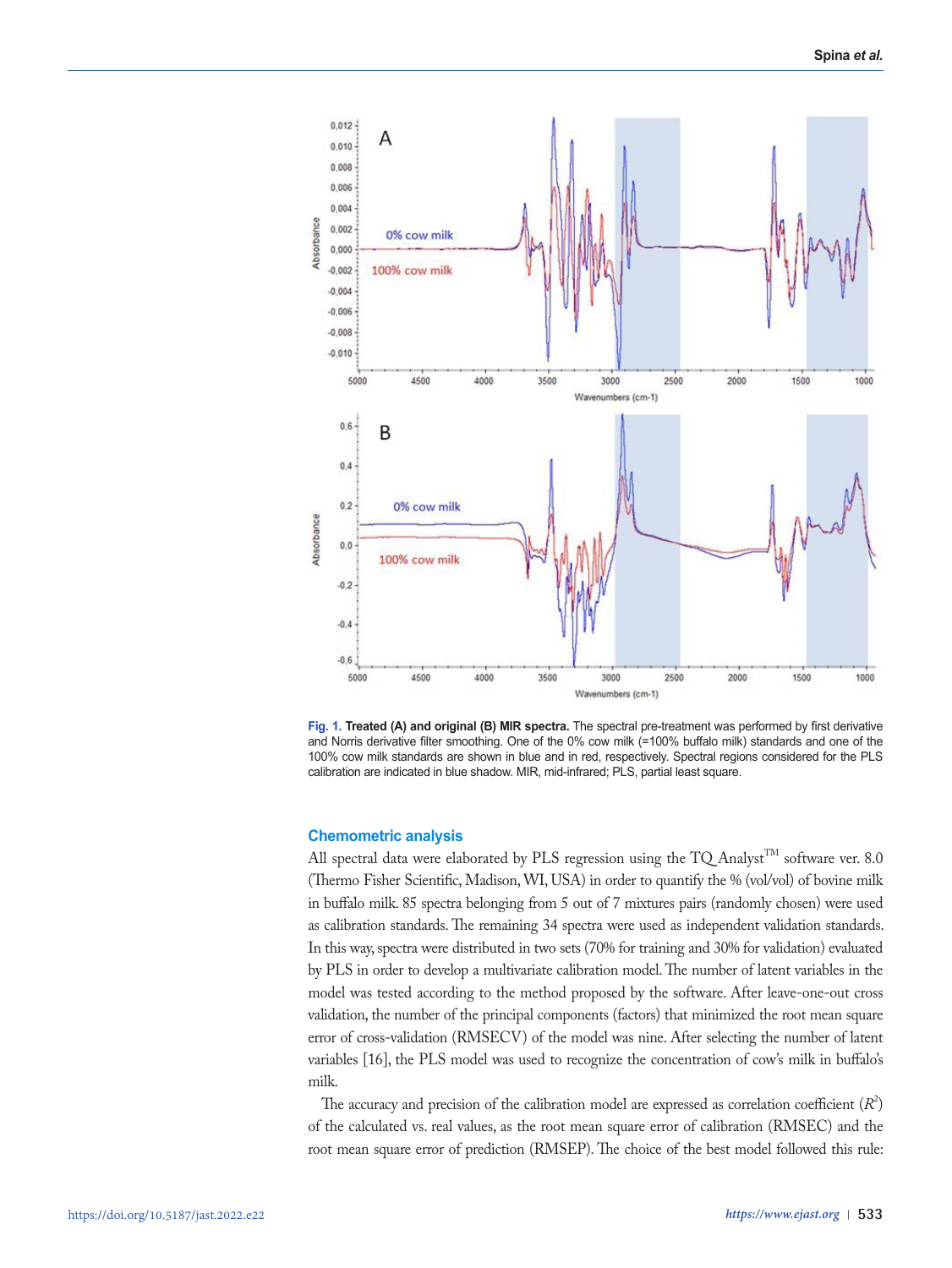

**Fig. 1. Treated (A) and original (B) MIR spectra.** The spectral pre-treatment was performed by first derivative and Norris derivative filter smoothing. One of the 0% cow milk (=100% buffalo milk) standards and one of the 100% cow milk standards are shown in blue and in red, respectively. Spectral regions considered for the PLS calibration are indicated in blue shadow. MIR, mid-infrared; PLS, partial least square.

### **Chemometric analysis**

All spectral data were elaborated by PLS regression using the TQ Analyst<sup>TM</sup> software ver. 8.0 (Thermo Fisher Scientific, Madison, WI, USA) in order to quantify the % (vol/vol) of bovine milk in buffalo milk. 85 spectra belonging from 5 out of 7 mixtures pairs (randomly chosen) were used as calibration standards. The remaining 34 spectra were used as independent validation standards. In this way, spectra were distributed in two sets (70% for training and 30% for validation) evaluated by PLS in order to develop a multivariate calibration model. The number of latent variables in the model was tested according to the method proposed by the software. After leave-one-out cross validation, the number of the principal components (factors) that minimized the root mean square error of cross-validation (RMSECV) of the model was nine. After selecting the number of latent variables [16], the PLS model was used to recognize the concentration of cow's milk in buffalo's milk.

The accuracy and precision of the calibration model are expressed as correlation coefficient  $(R^2)$ of the calculated vs. real values, as the root mean square error of calibration (RMSEC) and the root mean square error of prediction (RMSEP). The choice of the best model followed this rule: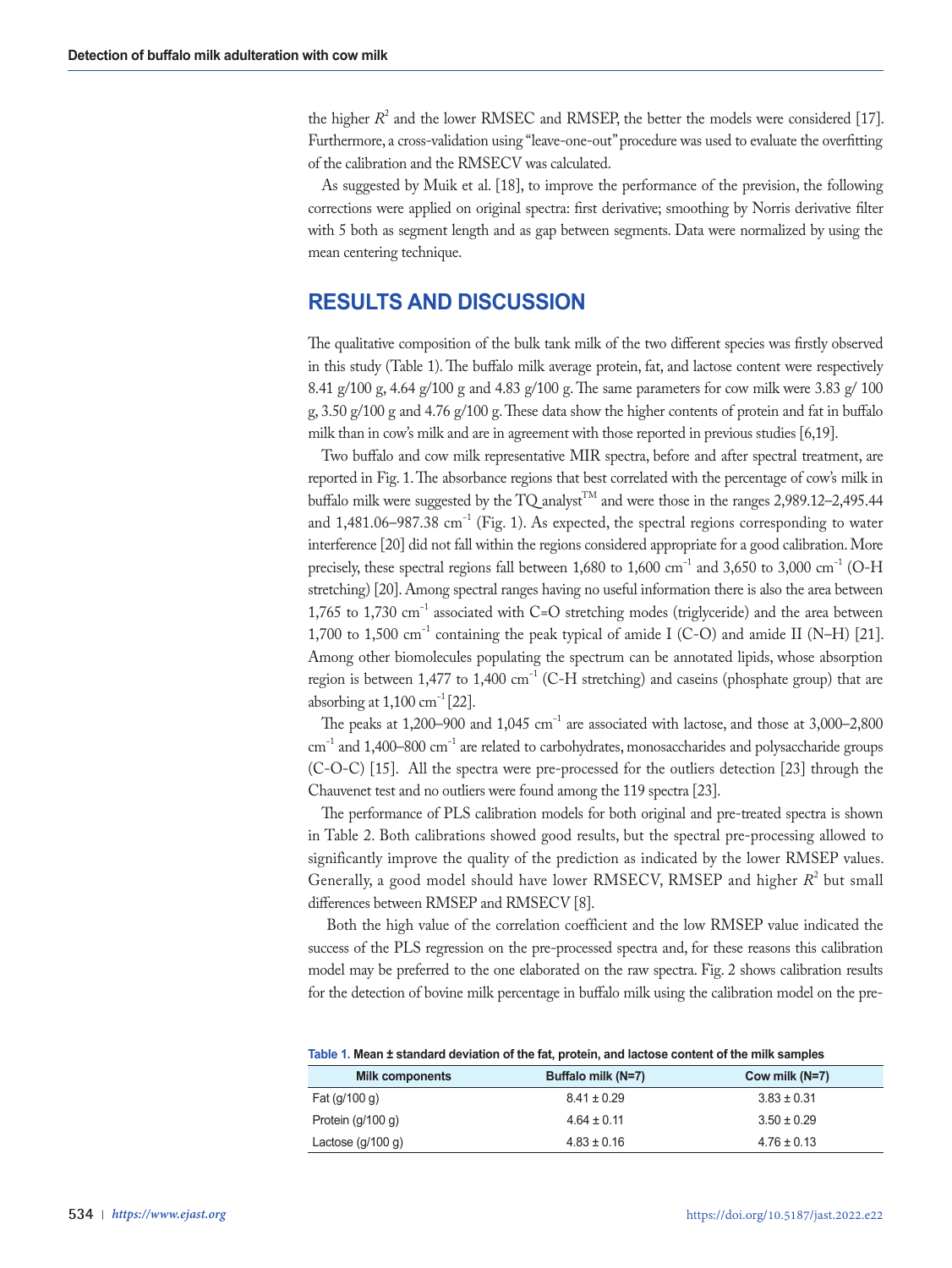the higher  $R^2$  and the lower RMSEC and RMSEP, the better the models were considered [17]. Furthermore, a cross-validation using "leave-one-out" procedure was used to evaluate the overfitting of the calibration and the RMSECV was calculated.

As suggested by Muik et al. [18], to improve the performance of the prevision, the following corrections were applied on original spectra: first derivative; smoothing by Norris derivative filter with 5 both as segment length and as gap between segments. Data were normalized by using the mean centering technique.

# **RESULTS AND DISCUSSION**

The qualitative composition of the bulk tank milk of the two different species was firstly observed in this study (Table 1). The buffalo milk average protein, fat, and lactose content were respectively 8.41 g/100 g, 4.64 g/100 g and 4.83 g/100 g. The same parameters for cow milk were 3.83 g/ 100 g, 3.50 g/100 g and 4.76 g/100 g. These data show the higher contents of protein and fat in buffalo milk than in cow's milk and are in agreement with those reported in previous studies [6,19].

Two buffalo and cow milk representative MIR spectra, before and after spectral treatment, are reported in Fig. 1. The absorbance regions that best correlated with the percentage of cow's milk in buffalo milk were suggested by the TQ analyst<sup>TM</sup> and were those in the ranges 2,989.12–2,495.44 and 1,481.06–987.38 cm<sup>-1</sup> (Fig. 1). As expected, the spectral regions corresponding to water interference [20] did not fall within the regions considered appropriate for a good calibration. More precisely, these spectral regions fall between 1,680 to 1,600 cm<sup>-1</sup> and 3,650 to 3,000 cm<sup>-1</sup> (O-H stretching) [20]. Among spectral ranges having no useful information there is also the area between 1,765 to 1,730 cm−1 associated with C=O stretching modes (triglyceride) and the area between 1,700 to 1,500 cm−1 containing the peak typical of amide I (C-O) and amide II (N–H) [21]. Among other biomolecules populating the spectrum can be annotated lipids, whose absorption region is between 1,477 to 1,400 cm<sup>-1</sup> (C-H stretching) and caseins (phosphate group) that are absorbing at  $1,100 \text{ cm}^{-1}$  [22].

The peaks at 1,200–900 and 1,045 cm−1 are associated with lactose, and those at 3,000–2,800 cm<sup>-1</sup> and 1,400–800 cm<sup>-1</sup> are related to carbohydrates, monosaccharides and polysaccharide groups (C-O-C) [15]. All the spectra were pre-processed for the outliers detection [23] through the Chauvenet test and no outliers were found among the 119 spectra [23].

The performance of PLS calibration models for both original and pre-treated spectra is shown in Table 2. Both calibrations showed good results, but the spectral pre-processing allowed to significantly improve the quality of the prediction as indicated by the lower RMSEP values. Generally, a good model should have lower RMSECV, RMSEP and higher  $R^2$  but small differences between RMSEP and RMSECV [8].

 Both the high value of the correlation coefficient and the low RMSEP value indicated the success of the PLS regression on the pre-processed spectra and, for these reasons this calibration model may be preferred to the one elaborated on the raw spectra. Fig. 2 shows calibration results for the detection of bovine milk percentage in buffalo milk using the calibration model on the pre-

| <b>Milk components</b> | Buffalo milk (N=7) | Cow milk (N=7)  |  |  |  |  |  |
|------------------------|--------------------|-----------------|--|--|--|--|--|
| Fat $(q/100 q)$        | $8.41 \pm 0.29$    | $3.83 \pm 0.31$ |  |  |  |  |  |
| Protein $(q/100 q)$    | $4.64 \pm 0.11$    | $3.50 \pm 0.29$ |  |  |  |  |  |
| Lactose $(g/100 g)$    | $4.83 \pm 0.16$    | $4.76 \pm 0.13$ |  |  |  |  |  |

**Table 1. Mean ± standard deviation of the fat, protein, and lactose content of the milk samples**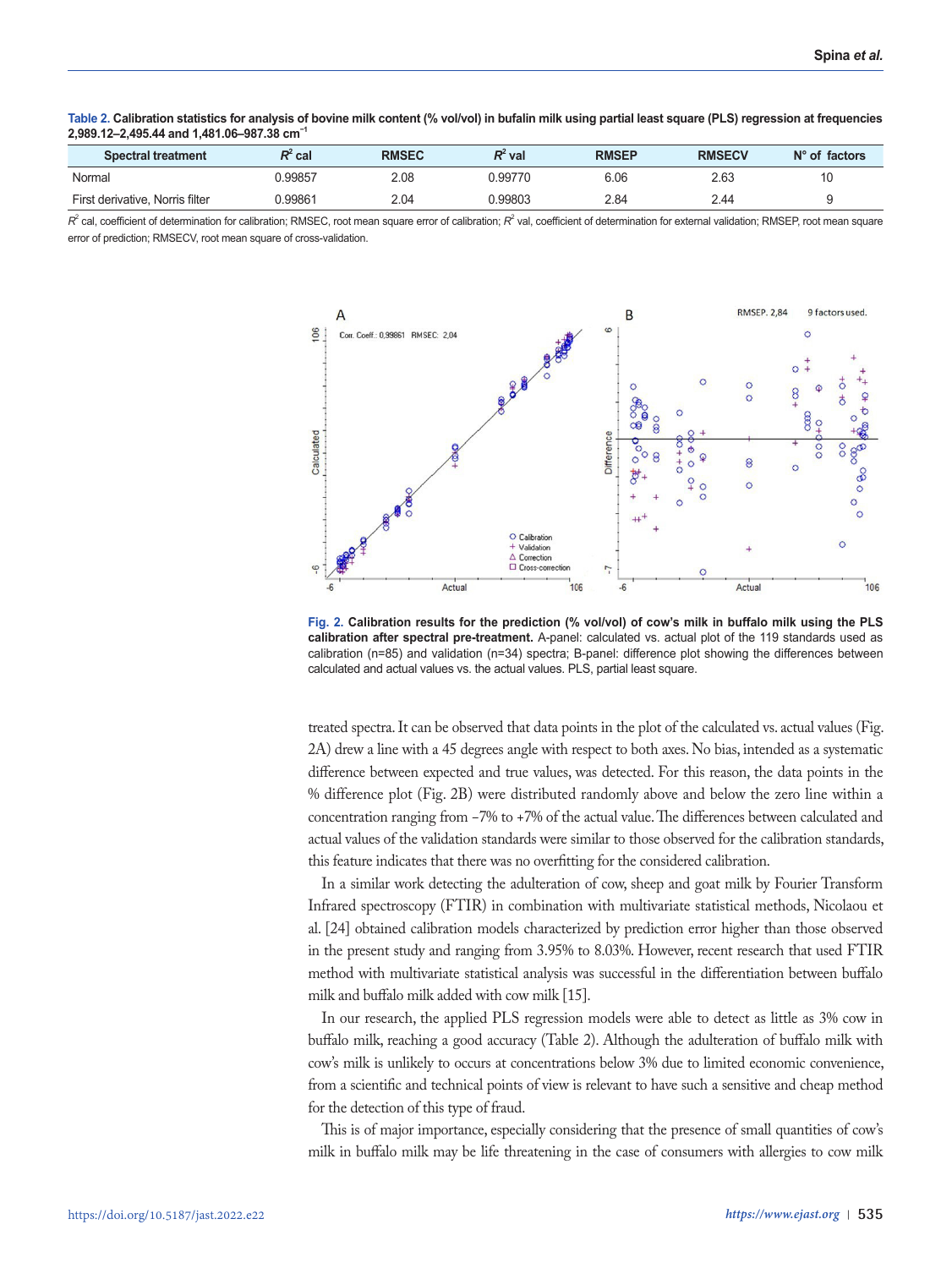| <b>Spectral treatment</b>       | $R^2$ cal | <b>RMSEC</b> | R' val  | <b>RMSEP</b> | <b>RMSECV</b> | $N^{\circ}$ of factors |  |  |
|---------------------------------|-----------|--------------|---------|--------------|---------------|------------------------|--|--|
| Normal                          | 0.99857   | 2.08         | ን.99770 | 6.06         | 2.63          | 10                     |  |  |
| First derivative. Norris filter | 1.99861   | 2.04         | ን.99803 | 2.84         | 2.44          |                        |  |  |

**Table 2. Calibration statistics for analysis of bovine milk content (% vol/vol) in bufalin milk using partial least square (PLS) regression at frequencies 2,989.12–2,495.44 and 1,481.06–987.38 cm−1**

 $R^z$  cal, coefficient of determination for calibration; RMSEC, root mean square error of calibration;  $R^z$  val, coefficient of determination for external validation; RMSEP, root mean square error of prediction; RMSECV, root mean square of cross-validation.



**Fig. 2. Calibration results for the prediction (% vol/vol) of cow's milk in buffalo milk using the PLS calibration after spectral pre-treatment.** A-panel: calculated vs. actual plot of the 119 standards used as calibration (n=85) and validation (n=34) spectra; B-panel: difference plot showing the differences between calculated and actual values vs. the actual values. PLS, partial least square.

treated spectra. It can be observed that data points in the plot of the calculated vs. actual values (Fig. 2A) drew a line with a 45 degrees angle with respect to both axes. No bias, intended as a systematic difference between expected and true values, was detected. For this reason, the data points in the % difference plot (Fig. 2B) were distributed randomly above and below the zero line within a concentration ranging from −7% to +7% of the actual value. The differences between calculated and actual values of the validation standards were similar to those observed for the calibration standards, this feature indicates that there was no overfitting for the considered calibration.

In a similar work detecting the adulteration of cow, sheep and goat milk by Fourier Transform Infrared spectroscopy (FTIR) in combination with multivariate statistical methods, Nicolaou et al. [24] obtained calibration models characterized by prediction error higher than those observed in the present study and ranging from 3.95% to 8.03%. However, recent research that used FTIR method with multivariate statistical analysis was successful in the differentiation between buffalo milk and buffalo milk added with cow milk [15].

In our research, the applied PLS regression models were able to detect as little as 3% cow in buffalo milk, reaching a good accuracy (Table 2). Although the adulteration of buffalo milk with cow's milk is unlikely to occurs at concentrations below 3% due to limited economic convenience, from a scientific and technical points of view is relevant to have such a sensitive and cheap method for the detection of this type of fraud.

This is of major importance, especially considering that the presence of small quantities of cow's milk in buffalo milk may be life threatening in the case of consumers with allergies to cow milk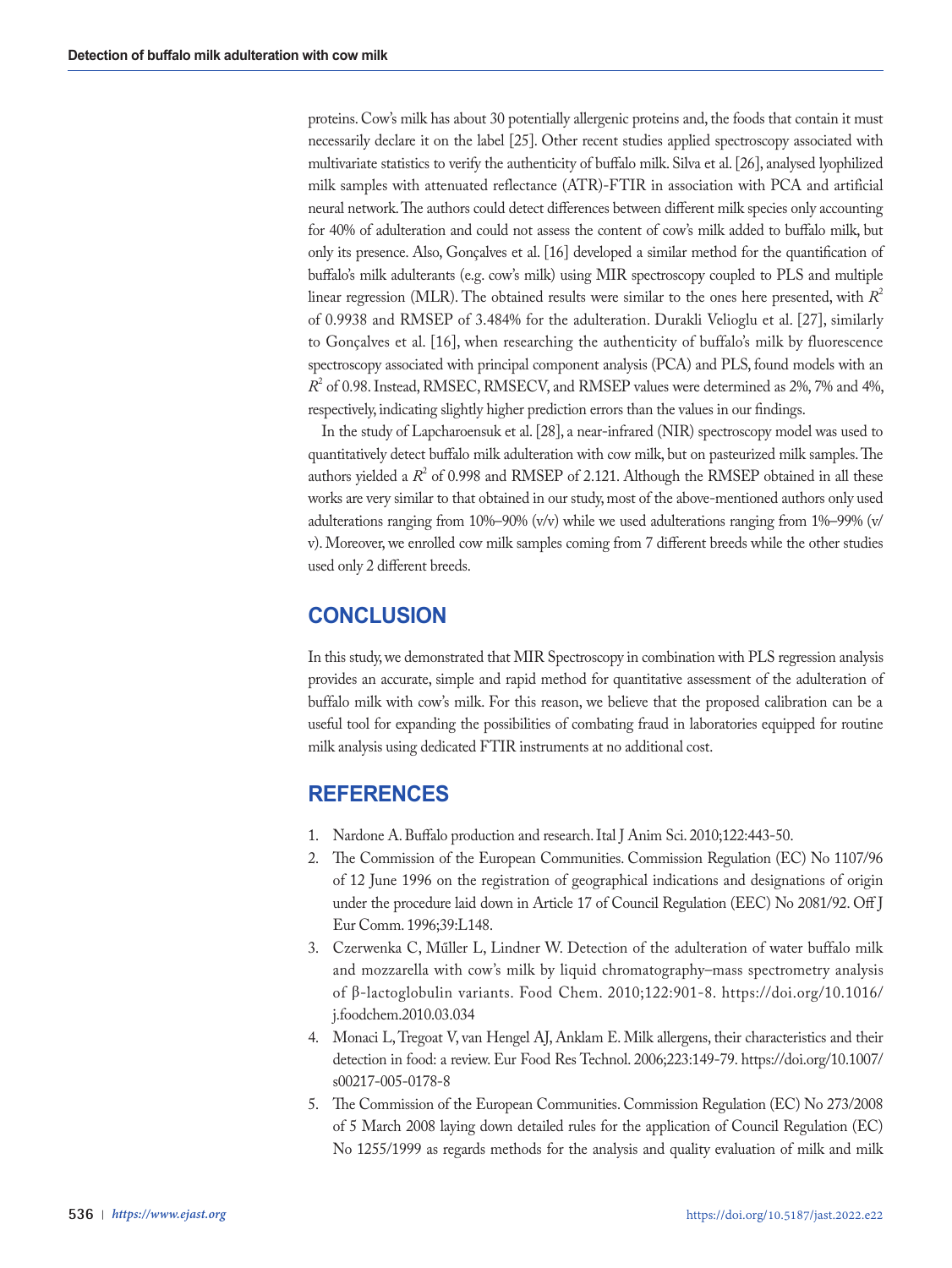proteins. Cow's milk has about 30 potentially allergenic proteins and, the foods that contain it must necessarily declare it on the label [25]. Other recent studies applied spectroscopy associated with multivariate statistics to verify the authenticity of buffalo milk. Silva et al. [26], analysed lyophilized milk samples with attenuated reflectance (ATR)-FTIR in association with PCA and artificial neural network. The authors could detect differences between different milk species only accounting for 40% of adulteration and could not assess the content of cow's milk added to buffalo milk, but only its presence. Also, Gonçalves et al. [16] developed a similar method for the quantification of buffalo's milk adulterants (e.g. cow's milk) using MIR spectroscopy coupled to PLS and multiple linear regression (MLR). The obtained results were similar to the ones here presented, with  $R^2$ of 0.9938 and RMSEP of 3.484% for the adulteration. Durakli Velioglu et al. [27], similarly to Gonçalves et al. [16], when researching the authenticity of buffalo's milk by fluorescence spectroscopy associated with principal component analysis (PCA) and PLS, found models with an  $R<sup>2</sup>$  of 0.98. Instead, RMSEC, RMSECV, and RMSEP values were determined as 2%, 7% and 4%, respectively, indicating slightly higher prediction errors than the values in our findings.

In the study of Lapcharoensuk et al. [28], a near-infrared (NIR) spectroscopy model was used to quantitatively detect buffalo milk adulteration with cow milk, but on pasteurized milk samples. The authors yielded a  $R^2$  of 0.998 and RMSEP of 2.121. Although the RMSEP obtained in all these works are very similar to that obtained in our study, most of the above-mentioned authors only used adulterations ranging from 10%–90% (v/v) while we used adulterations ranging from 1%–99% (v/ v). Moreover, we enrolled cow milk samples coming from 7 different breeds while the other studies used only 2 different breeds.

# **CONCLUSION**

In this study, we demonstrated that MIR Spectroscopy in combination with PLS regression analysis provides an accurate, simple and rapid method for quantitative assessment of the adulteration of buffalo milk with cow's milk. For this reason, we believe that the proposed calibration can be a useful tool for expanding the possibilities of combating fraud in laboratories equipped for routine milk analysis using dedicated FTIR instruments at no additional cost.

# **REFERENCES**

- 1. Nardone A. Buffalo production and research. Ital J Anim Sci. 2010;122:443-50.
- 2. The Commission of the European Communities. Commission Regulation (EC) No 1107/96 of 12 June 1996 on the registration of geographical indications and designations of origin under the procedure laid down in Article 17 of Council Regulation (EEC) No 2081/92. Off J Eur Comm. 1996;39:L148.
- 3. Czerwenka C, Műller L, Lindner W. Detection of the adulteration of water buffalo milk and mozzarella with cow's milk by liquid chromatography–mass spectrometry analysis of β-lactoglobulin variants. Food Chem. 2010;122:901-8. https://doi.org/10.1016/ j.foodchem.2010.03.034
- 4. Monaci L, Tregoat V, van Hengel AJ, Anklam E. Milk allergens, their characteristics and their detection in food: a review. Eur Food Res Technol. 2006;223:149-79. https://doi.org/10.1007/ s00217-005-0178-8
- 5. The Commission of the European Communities. Commission Regulation (EC) No 273/2008 of 5 March 2008 laying down detailed rules for the application of Council Regulation (EC) No 1255/1999 as regards methods for the analysis and quality evaluation of milk and milk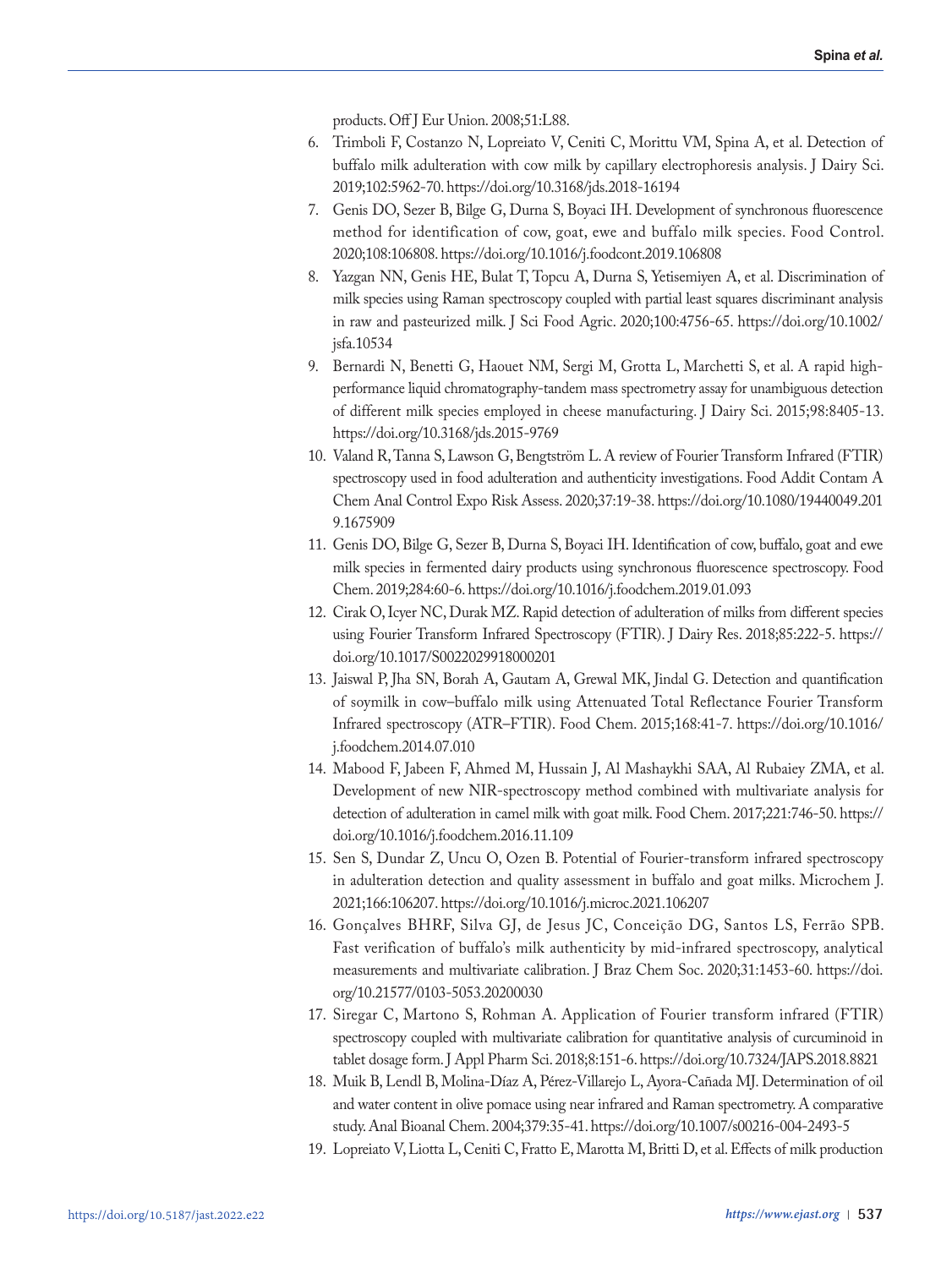products. Off J Eur Union. 2008;51:L88.

- 6. Trimboli F, Costanzo N, Lopreiato V, Ceniti C, Morittu VM, Spina A, et al. Detection of buffalo milk adulteration with cow milk by capillary electrophoresis analysis. J Dairy Sci. 2019;102:5962-70. https://doi.org/10.3168/jds.2018-16194
- 7. Genis DO, Sezer B, Bilge G, Durna S, Boyaci IH. Development of synchronous fluorescence method for identification of cow, goat, ewe and buffalo milk species. Food Control. 2020;108:106808. https://doi.org/10.1016/j.foodcont.2019.106808
- 8. Yazgan NN, Genis HE, Bulat T, Topcu A, Durna S, Yetisemiyen A, et al. Discrimination of milk species using Raman spectroscopy coupled with partial least squares discriminant analysis in raw and pasteurized milk. J Sci Food Agric. 2020;100:4756-65. https://doi.org/10.1002/ jsfa.10534
- 9. Bernardi N, Benetti G, Haouet NM, Sergi M, Grotta L, Marchetti S, et al. A rapid highperformance liquid chromatography-tandem mass spectrometry assay for unambiguous detection of different milk species employed in cheese manufacturing. J Dairy Sci. 2015;98:8405-13. https://doi.org/10.3168/jds.2015-9769
- 10. Valand R, Tanna S, Lawson G, Bengtström L. A review of Fourier Transform Infrared (FTIR) spectroscopy used in food adulteration and authenticity investigations. Food Addit Contam A Chem Anal Control Expo Risk Assess. 2020;37:19-38. https://doi.org/10.1080/19440049.201 9.1675909
- 11. Genis DO, Bilge G, Sezer B, Durna S, Boyaci IH. Identification of cow, buffalo, goat and ewe milk species in fermented dairy products using synchronous fluorescence spectroscopy. Food Chem. 2019;284:60-6. https://doi.org/10.1016/j.foodchem.2019.01.093
- 12. Cirak O, Icyer NC, Durak MZ. Rapid detection of adulteration of milks from different species using Fourier Transform Infrared Spectroscopy (FTIR). J Dairy Res. 2018;85:222-5. https:// doi.org/10.1017/S0022029918000201
- 13. Jaiswal P, Jha SN, Borah A, Gautam A, Grewal MK, Jindal G. Detection and quantification of soymilk in cow–buffalo milk using Attenuated Total Reflectance Fourier Transform Infrared spectroscopy (ATR–FTIR). Food Chem. 2015;168:41-7. https://doi.org/10.1016/ j.foodchem.2014.07.010
- 14. Mabood F, Jabeen F, Ahmed M, Hussain J, Al Mashaykhi SAA, Al Rubaiey ZMA, et al. Development of new NIR-spectroscopy method combined with multivariate analysis for detection of adulteration in camel milk with goat milk. Food Chem. 2017;221:746-50. https:// doi.org/10.1016/j.foodchem.2016.11.109
- 15. Sen S, Dundar Z, Uncu O, Ozen B. Potential of Fourier-transform infrared spectroscopy in adulteration detection and quality assessment in buffalo and goat milks. Microchem J. 2021;166:106207. https://doi.org/10.1016/j.microc.2021.106207
- 16. Gonçalves BHRF, Silva GJ, de Jesus JC, Conceição DG, Santos LS, Ferrão SPB. Fast verification of buffalo's milk authenticity by mid-infrared spectroscopy, analytical measurements and multivariate calibration. J Braz Chem Soc. 2020;31:1453-60. https://doi. org/10.21577/0103-5053.20200030
- 17. Siregar C, Martono S, Rohman A. Application of Fourier transform infrared (FTIR) spectroscopy coupled with multivariate calibration for quantitative analysis of curcuminoid in tablet dosage form. J Appl Pharm Sci. 2018;8:151-6. https://doi.org/10.7324/JAPS.2018.8821
- 18. Muik B, Lendl B, Molina-Díaz A, Pérez-Villarejo L, Ayora-Cañada MJ. Determination of oil and water content in olive pomace using near infrared and Raman spectrometry. A comparative study. Anal Bioanal Chem. 2004;379:35-41. https://doi.org/10.1007/s00216-004-2493-5
- 19. Lopreiato V, Liotta L, Ceniti C, Fratto E, Marotta M, Britti D, et al. Effects of milk production